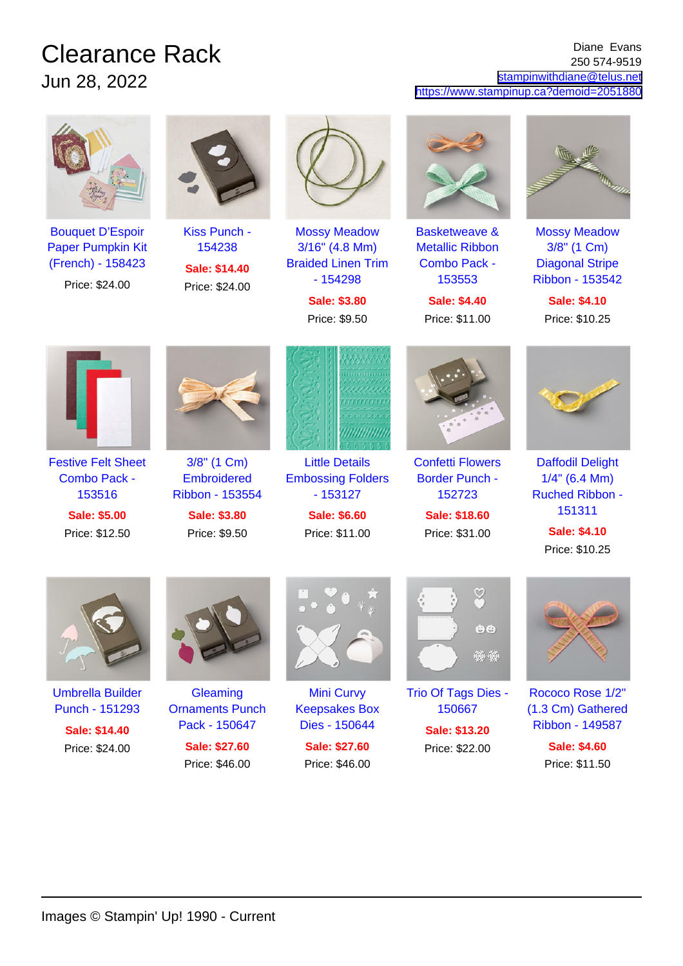## Clearance Rack Jun 28, 2022

## Diane Evans 250 574-9519 [stampinwithdiane@telus.net](mailto:stampinwithdiane@telus.net) <https://www.stampinup.ca?demoid=2051880>





[Basketweave &](https://www.stampinup.ca/products/basketweave-metallic-ribbon-combo-pack?dbwsdemoid=2051880) [Metallic Ribbon](https://www.stampinup.ca/products/basketweave-metallic-ribbon-combo-pack?dbwsdemoid=2051880) [Combo Pack -](https://www.stampinup.ca/products/basketweave-metallic-ribbon-combo-pack?dbwsdemoid=2051880) [153553](https://www.stampinup.ca/products/basketweave-metallic-ribbon-combo-pack?dbwsdemoid=2051880)

**Sale: \$4.40** Price: \$11.00



[Mossy Meadow](https://www.stampinup.ca/products/mossy-meadow-3-8-(1-cm)-diagonal-stripe-ribbon?dbwsdemoid=2051880) [3/8" \(1 Cm\)](https://www.stampinup.ca/products/mossy-meadow-3-8-(1-cm)-diagonal-stripe-ribbon?dbwsdemoid=2051880) [Diagonal Stripe](https://www.stampinup.ca/products/mossy-meadow-3-8-(1-cm)-diagonal-stripe-ribbon?dbwsdemoid=2051880) [Ribbon - 153542](https://www.stampinup.ca/products/mossy-meadow-3-8-(1-cm)-diagonal-stripe-ribbon?dbwsdemoid=2051880)

**Sale: \$4.10** Price: \$10.25



[Festive Felt Sheet](https://www.stampinup.ca/products/festive-felt-sheet-combo-pack?dbwsdemoid=2051880) [Combo Pack -](https://www.stampinup.ca/products/festive-felt-sheet-combo-pack?dbwsdemoid=2051880) [153516](https://www.stampinup.ca/products/festive-felt-sheet-combo-pack?dbwsdemoid=2051880)

**Sale: \$5.00** Price: \$12.50



[3/8" \(1 Cm\)](https://www.stampinup.ca/products/3-8-(1-cm)-embroidered-ribbon?dbwsdemoid=2051880) **[Embroidered](https://www.stampinup.ca/products/3-8-(1-cm)-embroidered-ribbon?dbwsdemoid=2051880)** [Ribbon - 153554](https://www.stampinup.ca/products/3-8-(1-cm)-embroidered-ribbon?dbwsdemoid=2051880)

**Sale: \$3.80** Price: \$9.50



[Little Details](https://www.stampinup.ca/products/little-details-embossing-folders?dbwsdemoid=2051880) [Embossing Folders](https://www.stampinup.ca/products/little-details-embossing-folders?dbwsdemoid=2051880) [- 153127](https://www.stampinup.ca/products/little-details-embossing-folders?dbwsdemoid=2051880)

> **Sale: \$6.60** Price: \$11.00



[Confetti Flowers](https://www.stampinup.ca/products/confetti-flowers-border-punch?dbwsdemoid=2051880) [Border Punch -](https://www.stampinup.ca/products/confetti-flowers-border-punch?dbwsdemoid=2051880) [152723](https://www.stampinup.ca/products/confetti-flowers-border-punch?dbwsdemoid=2051880)

**Sale: \$18.60** Price: \$31.00



[Daffodil Delight](https://www.stampinup.ca/products/daffodil-delight-1-4-(6-4-mm)-ruched-ribbon?dbwsdemoid=2051880) [1/4" \(6.4 Mm\)](https://www.stampinup.ca/products/daffodil-delight-1-4-(6-4-mm)-ruched-ribbon?dbwsdemoid=2051880) [Ruched Ribbon -](https://www.stampinup.ca/products/daffodil-delight-1-4-(6-4-mm)-ruched-ribbon?dbwsdemoid=2051880) [151311](https://www.stampinup.ca/products/daffodil-delight-1-4-(6-4-mm)-ruched-ribbon?dbwsdemoid=2051880)

> **Sale: \$4.10** Price: \$10.25



[Umbrella Builder](https://www.stampinup.ca/products/umbrella-builder-punch?dbwsdemoid=2051880) [Punch - 151293](https://www.stampinup.ca/products/umbrella-builder-punch?dbwsdemoid=2051880)

**Sale: \$14.40** Price: \$24.00



**[Gleaming](https://www.stampinup.ca/products/gleaming-ornaments-punch-pack?dbwsdemoid=2051880)** [Ornaments Punch](https://www.stampinup.ca/products/gleaming-ornaments-punch-pack?dbwsdemoid=2051880) [Pack - 150647](https://www.stampinup.ca/products/gleaming-ornaments-punch-pack?dbwsdemoid=2051880) **Sale: \$27.60**

Price: \$46.00

[Mini Curvy](https://www.stampinup.ca/products/mini-curvy-keepsakes-box-dies?dbwsdemoid=2051880) [Keepsakes Box](https://www.stampinup.ca/products/mini-curvy-keepsakes-box-dies?dbwsdemoid=2051880) [Dies - 150644](https://www.stampinup.ca/products/mini-curvy-keepsakes-box-dies?dbwsdemoid=2051880) **Sale: \$27.60** Price: \$46.00



[Trio Of Tags Dies -](https://www.stampinup.ca/products/trio-of-tags-dies?dbwsdemoid=2051880) [150667](https://www.stampinup.ca/products/trio-of-tags-dies?dbwsdemoid=2051880) **Sale: \$13.20**

Price: \$22.00



[Rococo Rose 1/2"](https://www.stampinup.ca/products/rococo-rose-1-2-(1-3-cm)-gathered-ribbon?dbwsdemoid=2051880) [\(1.3 Cm\) Gathered](https://www.stampinup.ca/products/rococo-rose-1-2-(1-3-cm)-gathered-ribbon?dbwsdemoid=2051880) [Ribbon - 149587](https://www.stampinup.ca/products/rococo-rose-1-2-(1-3-cm)-gathered-ribbon?dbwsdemoid=2051880)

**Sale: \$4.60** Price: \$11.50